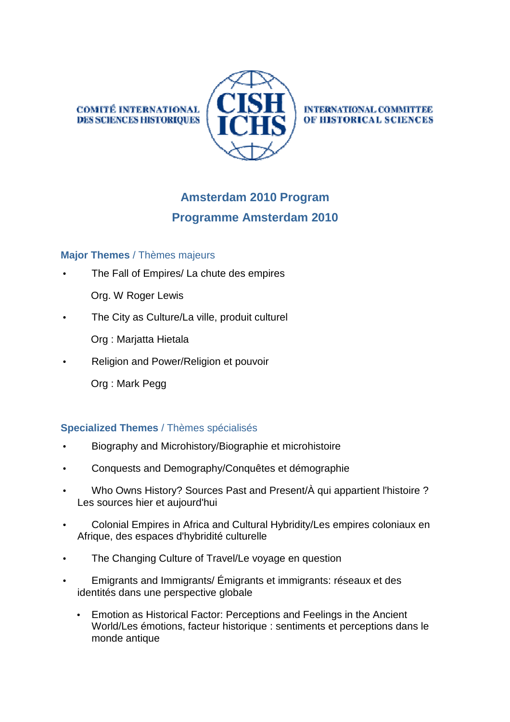**COMITÉ INTERNATIONAL DES SCIENCES HISTORIQUES** 



**INTERNATIONAL COMMITTEE** OF HISTORICAL SCIENCES

# **Amsterdam 2010 Program Programme Amsterdam 2010**

# **Major Themes** / Thèmes majeurs

- The Fall of Empires/ La chute des empires
	- Org. W Roger Lewis
- The City as Culture/La ville, produit culturel
	- Org : Marjatta Hietala
- Religion and Power/Religion et pouvoir
	- Org : Mark Pegg

# **Specialized Themes** / Thèmes spécialisés

- Biography and Microhistory/Biographie et microhistoire
- Conquests and Demography/Conquêtes et démographie
- Who Owns History? Sources Past and Present/À qui appartient l'histoire ? Les sources hier et aujourd'hui
- Colonial Empires in Africa and Cultural Hybridity/Les empires coloniaux en Afrique, des espaces d'hybridité culturelle
- The Changing Culture of Travel/Le voyage en question
- Emigrants and Immigrants/ Émigrants et immigrants: réseaux et des identités dans une perspective globale
	- Emotion as Historical Factor: Perceptions and Feelings in the Ancient World/Les émotions, facteur historique : sentiments et perceptions dans le monde antique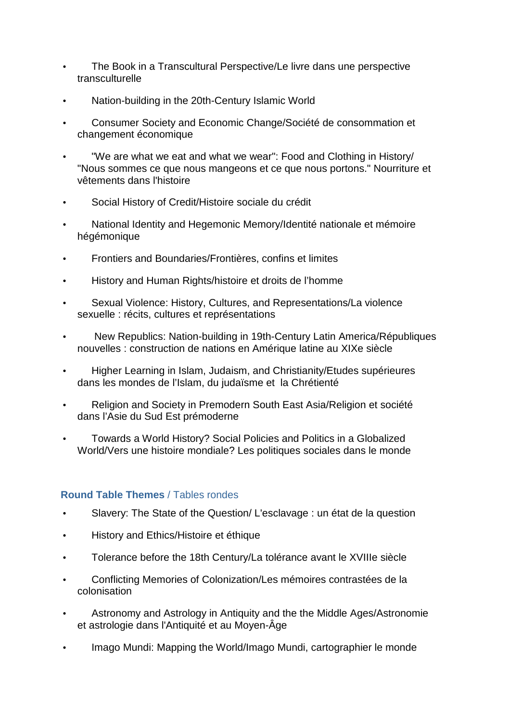- The Book in a Transcultural Perspective/Le livre dans une perspective transculturelle
- Nation-building in the 20th-Century Islamic World
- Consumer Society and Economic Change/Société de consommation et changement économique
- "We are what we eat and what we wear": Food and Clothing in History/ "Nous sommes ce que nous mangeons et ce que nous portons." Nourriture et vêtements dans l'histoire
- Social History of Credit/Histoire sociale du crédit
- National Identity and Hegemonic Memory/Identité nationale et mémoire hégémonique
- Frontiers and Boundaries/Frontières, confins et limites
- History and Human Rights/histoire et droits de l'homme
- Sexual Violence: History, Cultures, and Representations/La violence sexuelle : récits, cultures et représentations
- New Republics: Nation-building in 19th-Century Latin America/Républiques nouvelles : construction de nations en Amérique latine au XIXe siècle
- Higher Learning in Islam, Judaism, and Christianity/Etudes supérieures dans les mondes de l'Islam, du judaïsme et la Chrétienté
- Religion and Society in Premodern South East Asia/Religion et société dans l'Asie du Sud Est prémoderne
- Towards a World History? Social Policies and Politics in a Globalized World/Vers une histoire mondiale? Les politiques sociales dans le monde

# **Round Table Themes** / Tables rondes

- Slavery: The State of the Question/ L'esclavage : un état de la question
- History and Ethics/Histoire et éthique
- Tolerance before the 18th Century/La tolérance avant le XVIIIe siècle
- Conflicting Memories of Colonization/Les mémoires contrastées de la colonisation
- Astronomy and Astrology in Antiquity and the the Middle Ages/Astronomie et astrologie dans l'Antiquité et au Moyen-Âge
- Imago Mundi: Mapping the World/Imago Mundi, cartographier le monde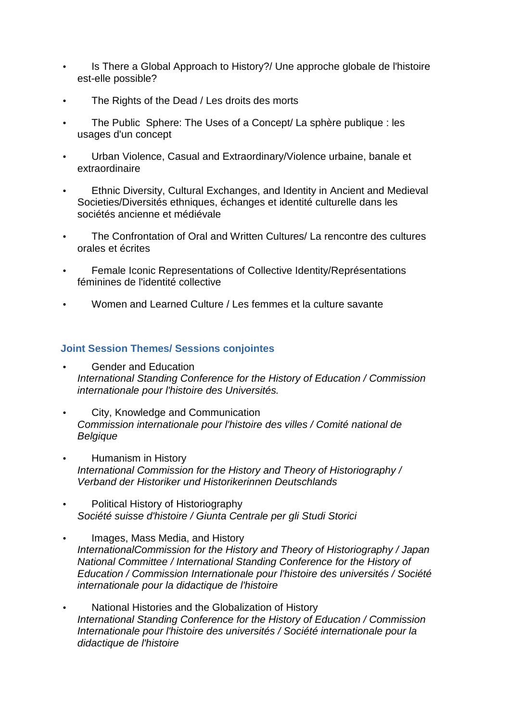- Is There a Global Approach to History?/ Une approche globale de l'histoire est-elle possible?
- The Rights of the Dead / Les droits des morts
- The Public Sphere: The Uses of a Concept/ La sphère publique : les usages d'un concept
- Urban Violence, Casual and Extraordinary/Violence urbaine, banale et extraordinaire
- Ethnic Diversity, Cultural Exchanges, and Identity in Ancient and Medieval Societies/Diversités ethniques, échanges et identité culturelle dans les sociétés ancienne et médiévale
- The Confrontation of Oral and Written Cultures/ La rencontre des cultures orales et écrites
- Female Iconic Representations of Collective Identity/Représentations féminines de l'identité collective
- Women and Learned Culture / Les femmes et la culture savante

#### **Joint Session Themes/ Sessions conjointes**

- Gender and Education International Standing Conference for the History of Education / Commission internationale pour l'histoire des Universités.
- City, Knowledge and Communication Commission internationale pour l'histoire des villes / Comité national de **Belgique**
- Humanism in History International Commission for the History and Theory of Historiography / Verband der Historiker und Historikerinnen Deutschlands
- Political History of Historiography Société suisse d'histoire / Giunta Centrale per gli Studi Storici
- Images, Mass Media, and History InternationalCommission for the History and Theory of Historiography / Japan National Committee / International Standing Conference for the History of Education / Commission Internationale pour l'histoire des universités / Société internationale pour la didactique de l'histoire
- National Histories and the Globalization of History International Standing Conference for the History of Education / Commission Internationale pour l'histoire des universités / Société internationale pour la didactique de l'histoire